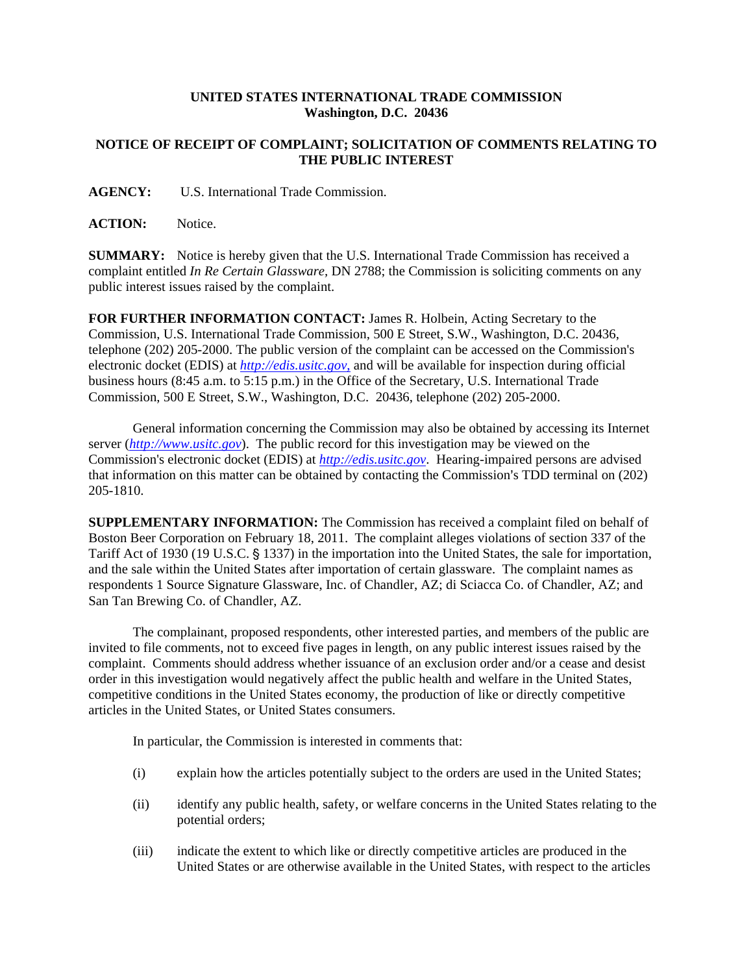## **UNITED STATES INTERNATIONAL TRADE COMMISSION Washington, D.C. 20436**

## **NOTICE OF RECEIPT OF COMPLAINT; SOLICITATION OF COMMENTS RELATING TO THE PUBLIC INTEREST**

**AGENCY:** U.S. International Trade Commission.

ACTION: Notice.

**SUMMARY:** Notice is hereby given that the U.S. International Trade Commission has received a complaint entitled *In Re Certain Glassware,* DN 2788; the Commission is soliciting comments on any public interest issues raised by the complaint.

**FOR FURTHER INFORMATION CONTACT:** James R. Holbein, Acting Secretary to the Commission, U.S. International Trade Commission, 500 E Street, S.W., Washington, D.C. 20436, telephone (202) 205-2000. The public version of the complaint can be accessed on the Commission's electronic docket (EDIS) at *http://edis.usitc.gov*, and will be available for inspection during official business hours (8:45 a.m. to 5:15 p.m.) in the Office of the Secretary, U.S. International Trade Commission, 500 E Street, S.W., Washington, D.C. 20436, telephone (202) 205-2000.

General information concerning the Commission may also be obtained by accessing its Internet server (*http://www.usitc.gov*). The public record for this investigation may be viewed on the Commission's electronic docket (EDIS) at *http://edis.usitc.gov*. Hearing-impaired persons are advised that information on this matter can be obtained by contacting the Commission's TDD terminal on (202) 205-1810.

**SUPPLEMENTARY INFORMATION:** The Commission has received a complaint filed on behalf of Boston Beer Corporation on February 18, 2011. The complaint alleges violations of section 337 of the Tariff Act of 1930 (19 U.S.C. § 1337) in the importation into the United States, the sale for importation, and the sale within the United States after importation of certain glassware. The complaint names as respondents 1 Source Signature Glassware, Inc. of Chandler, AZ; di Sciacca Co. of Chandler, AZ; and San Tan Brewing Co. of Chandler, AZ.

The complainant, proposed respondents, other interested parties, and members of the public are invited to file comments, not to exceed five pages in length, on any public interest issues raised by the complaint. Comments should address whether issuance of an exclusion order and/or a cease and desist order in this investigation would negatively affect the public health and welfare in the United States, competitive conditions in the United States economy, the production of like or directly competitive articles in the United States, or United States consumers.

In particular, the Commission is interested in comments that:

- (i) explain how the articles potentially subject to the orders are used in the United States;
- (ii) identify any public health, safety, or welfare concerns in the United States relating to the potential orders;
- (iii) indicate the extent to which like or directly competitive articles are produced in the United States or are otherwise available in the United States, with respect to the articles